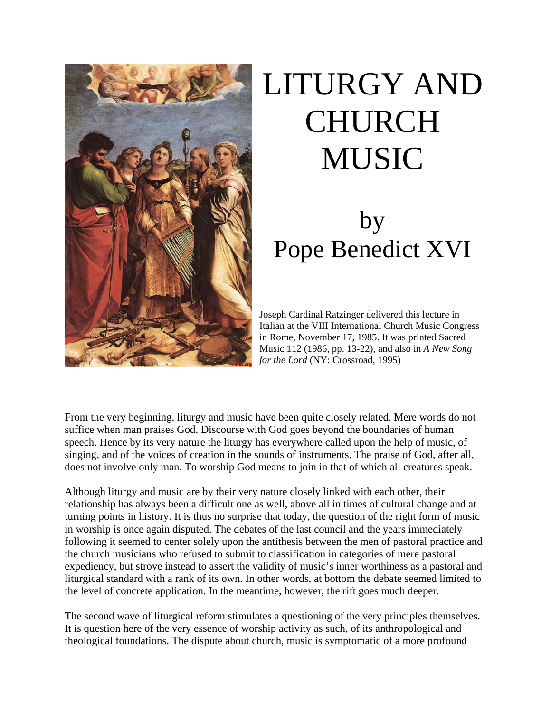

# LITURGY AND CHURCH MUSIC

# by Pope Benedict XVI

Joseph Cardinal Ratzinger delivered this lecture in Italian at the VIII International Church Music Congress in Rome, November 17, 1985. It was printed Sacred Music 112 (1986, pp. 13-22), and also in *A New Song for the Lord* (NY: Crossroad, 1995)

From the very beginning, liturgy and music have been quite closely related. Mere words do not suffice when man praises God. Discourse with God goes beyond the boundaries of human speech. Hence by its very nature the liturgy has everywhere called upon the help of music, of singing, and of the voices of creation in the sounds of instruments. The praise of God, after all, does not involve only man. To worship God means to join in that of which all creatures speak.

Although liturgy and music are by their very nature closely linked with each other, their relationship has always been a difficult one as well, above all in times of cultural change and at turning points in history. It is thus no surprise that today, the question of the right form of music in worship is once again disputed. The debates of the last council and the years immediately following it seemed to center solely upon the antithesis between the men of pastoral practice and the church musicians who refused to submit to classification in categories of mere pastoral expediency, but strove instead to assert the validity of music's inner worthiness as a pastoral and liturgical standard with a rank of its own. In other words, at bottom the debate seemed limited to the level of concrete application. In the meantime, however, the rift goes much deeper.

The second wave of liturgical reform stimulates a questioning of the very principles themselves. It is question here of the very essence of worship activity as such, of its anthropological and theological foundations. The dispute about church, music is symptomatic of a more profound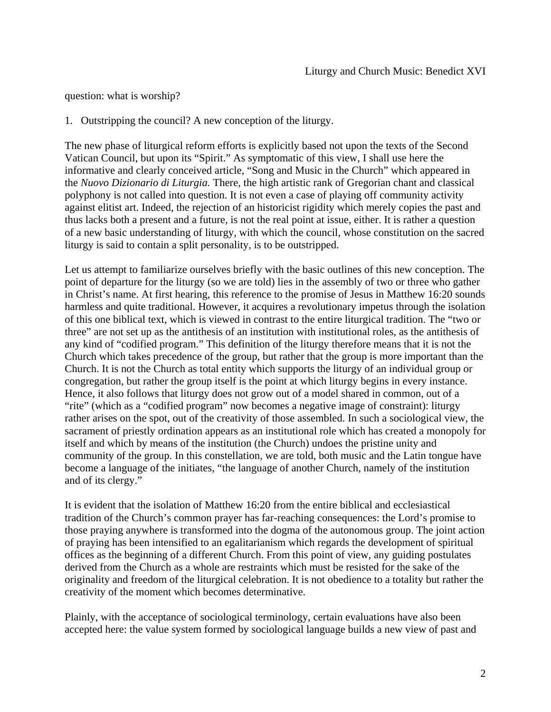question: what is worship?

1. Outstripping the council? A new conception of the liturgy.

The new phase of liturgical reform efforts is explicitly based not upon the texts of the Second Vatican Council, but upon its "Spirit." As symptomatic of this view, I shall use here the informative and clearly conceived article, "Song and Music in the Church" which appeared in the *Nuovo Dizionario di Liturgia.* There, the high artistic rank of Gregorian chant and classical polyphony is not called into question. It is not even a case of playing off community activity against elitist art. Indeed, the rejection of an historicist rigidity which merely copies the past and thus lacks both a present and a future, is not the real point at issue, either. It is rather a question of a new basic understanding of liturgy, with which the council, whose constitution on the sacred liturgy is said to contain a split personality, is to be outstripped.

Let us attempt to familiarize ourselves briefly with the basic outlines of this new conception. The point of departure for the liturgy (so we are told) lies in the assembly of two or three who gather in Christ's name. At first hearing, this reference to the promise of Jesus in Matthew 16:20 sounds harmless and quite traditional. However, it acquires a revolutionary impetus through the isolation of this one biblical text, which is viewed in contrast to the entire liturgical tradition. The "two or three" are not set up as the antithesis of an institution with institutional roles, as the antithesis of any kind of "codified program." This definition of the liturgy therefore means that it is not the Church which takes precedence of the group, but rather that the group is more important than the Church. It is not the Church as total entity which supports the liturgy of an individual group or congregation, but rather the group itself is the point at which liturgy begins in every instance. Hence, it also follows that liturgy does not grow out of a model shared in common, out of a "rite" (which as a "codified program" now becomes a negative image of constraint): liturgy rather arises on the spot, out of the creativity of those assembled. In such a sociological view, the sacrament of priestly ordination appears as an institutional role which has created a monopoly for itself and which by means of the institution (the Church) undoes the pristine unity and community of the group. In this constellation, we are told, both music and the Latin tongue have become a language of the initiates, "the language of another Church, namely of the institution and of its clergy."

It is evident that the isolation of Matthew 16:20 from the entire biblical and ecclesiastical tradition of the Church's common prayer has far-reaching consequences: the Lord's promise to those praying anywhere is transformed into the dogma of the autonomous group. The joint action of praying has been intensified to an egalitarianism which regards the development of spiritual offices as the beginning of a different Church. From this point of view, any guiding postulates derived from the Church as a whole are restraints which must be resisted for the sake of the originality and freedom of the liturgical celebration. It is not obedience to a totality but rather the creativity of the moment which becomes determinative.

Plainly, with the acceptance of sociological terminology, certain evaluations have also been accepted here: the value system formed by sociological language builds a new view of past and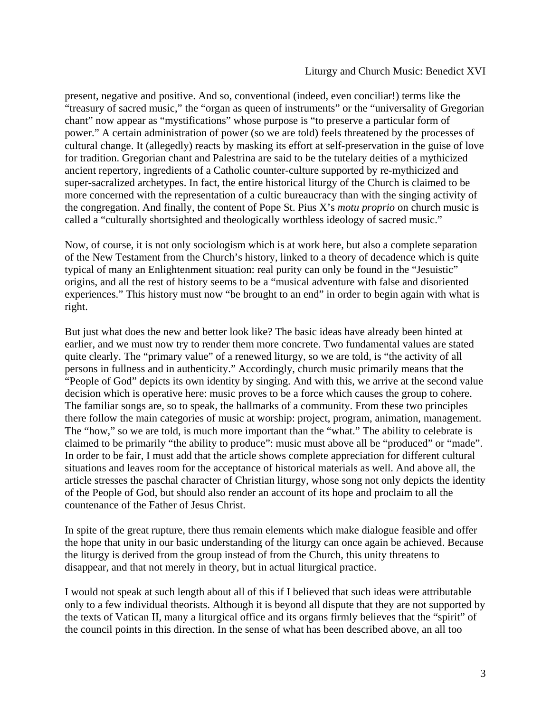#### Liturgy and Church Music: Benedict XVI

present, negative and positive. And so, conventional (indeed, even conciliar!) terms like the "treasury of sacred music," the "organ as queen of instruments" or the "universality of Gregorian chant" now appear as "mystifications" whose purpose is "to preserve a particular form of power." A certain administration of power (so we are told) feels threatened by the processes of cultural change. It (allegedly) reacts by masking its effort at self-preservation in the guise of love for tradition. Gregorian chant and Palestrina are said to be the tutelary deities of a mythicized ancient repertory, ingredients of a Catholic counter-culture supported by re-mythicized and super-sacralized archetypes. In fact, the entire historical liturgy of the Church is claimed to be more concerned with the representation of a cultic bureaucracy than with the singing activity of the congregation. And finally, the content of Pope St. Pius X's *motu proprio* on church music is called a "culturally shortsighted and theologically worthless ideology of sacred music."

Now, of course, it is not only sociologism which is at work here, but also a complete separation of the New Testament from the Church's history, linked to a theory of decadence which is quite typical of many an Enlightenment situation: real purity can only be found in the "Jesuistic" origins, and all the rest of history seems to be a "musical adventure with false and disoriented experiences." This history must now "be brought to an end" in order to begin again with what is right.

But just what does the new and better look like? The basic ideas have already been hinted at earlier, and we must now try to render them more concrete. Two fundamental values are stated quite clearly. The "primary value" of a renewed liturgy, so we are told, is "the activity of all persons in fullness and in authenticity." Accordingly, church music primarily means that the "People of God" depicts its own identity by singing. And with this, we arrive at the second value decision which is operative here: music proves to be a force which causes the group to cohere. The familiar songs are, so to speak, the hallmarks of a community. From these two principles there follow the main categories of music at worship: project, program, animation, management. The "how," so we are told, is much more important than the "what." The ability to celebrate is claimed to be primarily "the ability to produce": music must above all be "produced" or "made". In order to be fair, I must add that the article shows complete appreciation for different cultural situations and leaves room for the acceptance of historical materials as well. And above all, the article stresses the paschal character of Christian liturgy, whose song not only depicts the identity of the People of God, but should also render an account of its hope and proclaim to all the countenance of the Father of Jesus Christ.

In spite of the great rupture, there thus remain elements which make dialogue feasible and offer the hope that unity in our basic understanding of the liturgy can once again be achieved. Because the liturgy is derived from the group instead of from the Church, this unity threatens to disappear, and that not merely in theory, but in actual liturgical practice.

I would not speak at such length about all of this if I believed that such ideas were attributable only to a few individual theorists. Although it is beyond all dispute that they are not supported by the texts of Vatican II, many a liturgical office and its organs firmly believes that the "spirit" of the council points in this direction. In the sense of what has been described above, an all too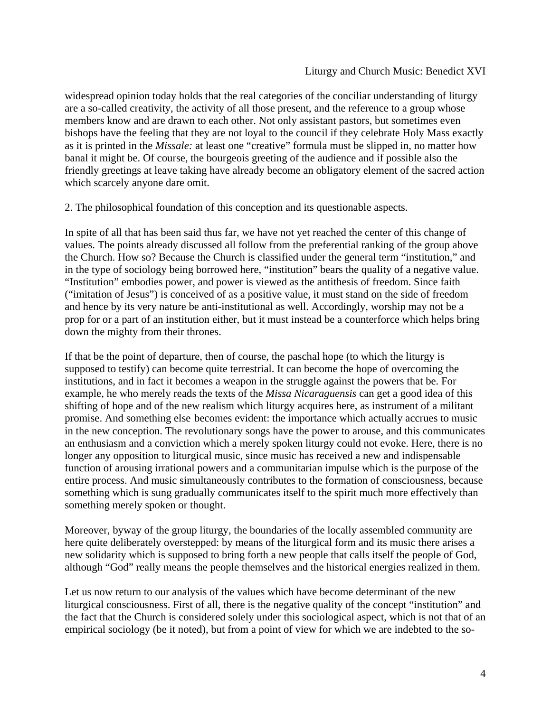widespread opinion today holds that the real categories of the conciliar understanding of liturgy are a so-called creativity, the activity of all those present, and the reference to a group whose members know and are drawn to each other. Not only assistant pastors, but sometimes even bishops have the feeling that they are not loyal to the council if they celebrate Holy Mass exactly as it is printed in the *Missale:* at least one "creative" formula must be slipped in, no matter how banal it might be. Of course, the bourgeois greeting of the audience and if possible also the friendly greetings at leave taking have already become an obligatory element of the sacred action which scarcely anyone dare omit.

2. The philosophical foundation of this conception and its questionable aspects.

In spite of all that has been said thus far, we have not yet reached the center of this change of values. The points already discussed all follow from the preferential ranking of the group above the Church. How so? Because the Church is classified under the general term "institution," and in the type of sociology being borrowed here, "institution" bears the quality of a negative value. "Institution" embodies power, and power is viewed as the antithesis of freedom. Since faith ("imitation of Jesus") is conceived of as a positive value, it must stand on the side of freedom and hence by its very nature be anti-institutional as well. Accordingly, worship may not be a prop for or a part of an institution either, but it must instead be a counterforce which helps bring down the mighty from their thrones.

If that be the point of departure, then of course, the paschal hope (to which the liturgy is supposed to testify) can become quite terrestrial. It can become the hope of overcoming the institutions, and in fact it becomes a weapon in the struggle against the powers that be. For example, he who merely reads the texts of the *Missa Nicaraguensis* can get a good idea of this shifting of hope and of the new realism which liturgy acquires here, as instrument of a militant promise. And something else becomes evident: the importance which actually accrues to music in the new conception. The revolutionary songs have the power to arouse, and this communicates an enthusiasm and a conviction which a merely spoken liturgy could not evoke. Here, there is no longer any opposition to liturgical music, since music has received a new and indispensable function of arousing irrational powers and a communitarian impulse which is the purpose of the entire process. And music simultaneously contributes to the formation of consciousness, because something which is sung gradually communicates itself to the spirit much more effectively than something merely spoken or thought.

Moreover, byway of the group liturgy, the boundaries of the locally assembled community are here quite deliberately overstepped: by means of the liturgical form and its music there arises a new solidarity which is supposed to bring forth a new people that calls itself the people of God, although "God" really means the people themselves and the historical energies realized in them.

Let us now return to our analysis of the values which have become determinant of the new liturgical consciousness. First of all, there is the negative quality of the concept "institution" and the fact that the Church is considered solely under this sociological aspect, which is not that of an empirical sociology (be it noted), but from a point of view for which we are indebted to the so-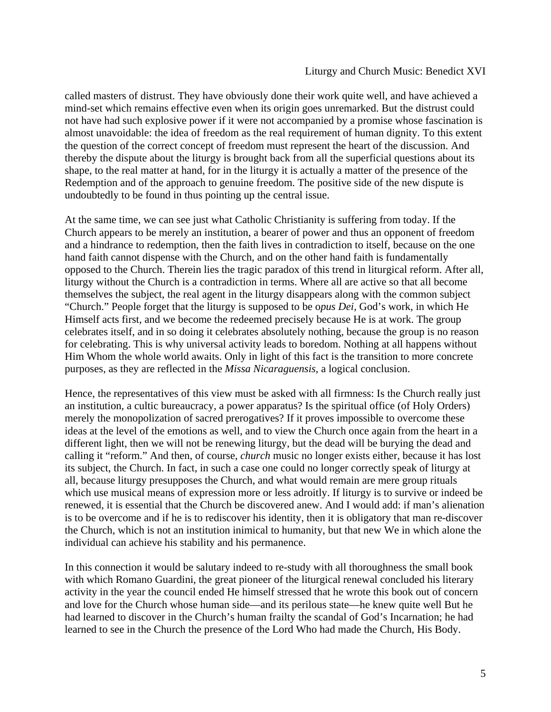#### Liturgy and Church Music: Benedict XVI

called masters of distrust. They have obviously done their work quite well, and have achieved a mind-set which remains effective even when its origin goes unremarked. But the distrust could not have had such explosive power if it were not accompanied by a promise whose fascination is almost unavoidable: the idea of freedom as the real requirement of human dignity. To this extent the question of the correct concept of freedom must represent the heart of the discussion. And thereby the dispute about the liturgy is brought back from all the superficial questions about its shape, to the real matter at hand, for in the liturgy it is actually a matter of the presence of the Redemption and of the approach to genuine freedom. The positive side of the new dispute is undoubtedly to be found in thus pointing up the central issue.

At the same time, we can see just what Catholic Christianity is suffering from today. If the Church appears to be merely an institution, a bearer of power and thus an opponent of freedom and a hindrance to redemption, then the faith lives in contradiction to itself, because on the one hand faith cannot dispense with the Church, and on the other hand faith is fundamentally opposed to the Church. Therein lies the tragic paradox of this trend in liturgical reform. After all, liturgy without the Church is a contradiction in terms. Where all are active so that all become themselves the subject, the real agent in the liturgy disappears along with the common subject "Church." People forget that the liturgy is supposed to be o*pus Dei,* God's work, in which He Himself acts first, and we become the redeemed precisely because He is at work. The group celebrates itself, and in so doing it celebrates absolutely nothing, because the group is no reason for celebrating. This is why universal activity leads to boredom. Nothing at all happens without Him Whom the whole world awaits. Only in light of this fact is the transition to more concrete purposes, as they are reflected in the *Missa Nicaraguensis,* a logical conclusion.

Hence, the representatives of this view must be asked with all firmness: Is the Church really just an institution, a cultic bureaucracy, a power apparatus? Is the spiritual office (of Holy Orders) merely the monopolization of sacred prerogatives? If it proves impossible to overcome these ideas at the level of the emotions as well, and to view the Church once again from the heart in a different light, then we will not be renewing liturgy, but the dead will be burying the dead and calling it "reform." And then, of course, *church* music no longer exists either, because it has lost its subject, the Church. In fact, in such a case one could no longer correctly speak of liturgy at all, because liturgy presupposes the Church, and what would remain are mere group rituals which use musical means of expression more or less adroitly. If liturgy is to survive or indeed be renewed, it is essential that the Church be discovered anew. And I would add: if man's alienation is to be overcome and if he is to rediscover his identity, then it is obligatory that man re-discover the Church, which is not an institution inimical to humanity, but that new We in which alone the individual can achieve his stability and his permanence.

In this connection it would be salutary indeed to re-study with all thoroughness the small book with which Romano Guardini, the great pioneer of the liturgical renewal concluded his literary activity in the year the council ended He himself stressed that he wrote this book out of concern and love for the Church whose human side—and its perilous state—he knew quite well But he had learned to discover in the Church's human frailty the scandal of God's Incarnation; he had learned to see in the Church the presence of the Lord Who had made the Church, His Body.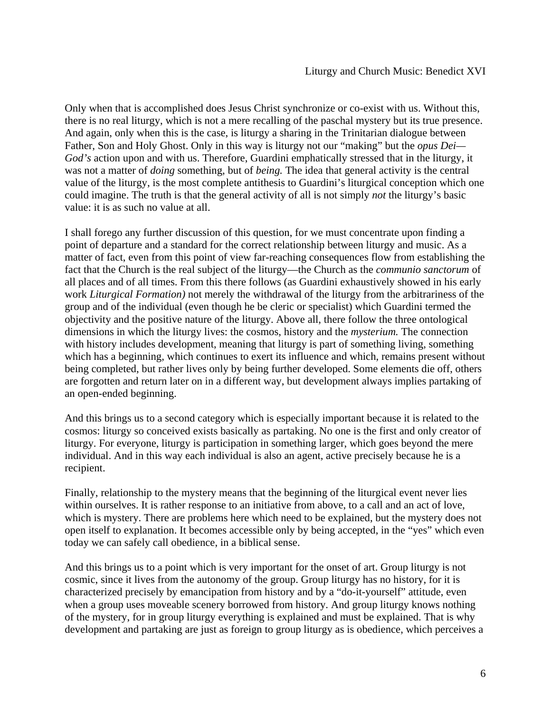Only when that is accomplished does Jesus Christ synchronize or co-exist with us. Without this, there is no real liturgy, which is not a mere recalling of the paschal mystery but its true presence. And again, only when this is the case, is liturgy a sharing in the Trinitarian dialogue between Father, Son and Holy Ghost. Only in this way is liturgy not our "making" but the *opus Dei— God's* action upon and with us. Therefore, Guardini emphatically stressed that in the liturgy, it was not a matter of *doing* something, but of *being.* The idea that general activity is the central value of the liturgy, is the most complete antithesis to Guardini's liturgical conception which one could imagine. The truth is that the general activity of all is not simply *not* the liturgy's basic value: it is as such no value at all.

I shall forego any further discussion of this question, for we must concentrate upon finding a point of departure and a standard for the correct relationship between liturgy and music. As a matter of fact, even from this point of view far-reaching consequences flow from establishing the fact that the Church is the real subject of the liturgy—the Church as the *communio sanctorum* of all places and of all times. From this there follows (as Guardini exhaustively showed in his early work *Liturgical Formation)* not merely the withdrawal of the liturgy from the arbitrariness of the group and of the individual (even though he be cleric or specialist) which Guardini termed the objectivity and the positive nature of the liturgy. Above all, there follow the three ontological dimensions in which the liturgy lives: the cosmos, history and the *mysterium.* The connection with history includes development, meaning that liturgy is part of something living, something which has a beginning, which continues to exert its influence and which, remains present without being completed, but rather lives only by being further developed. Some elements die off, others are forgotten and return later on in a different way, but development always implies partaking of an open-ended beginning.

And this brings us to a second category which is especially important because it is related to the cosmos: liturgy so conceived exists basically as partaking. No one is the first and only creator of liturgy. For everyone, liturgy is participation in something larger, which goes beyond the mere individual. And in this way each individual is also an agent, active precisely because he is a recipient.

Finally, relationship to the mystery means that the beginning of the liturgical event never lies within ourselves. It is rather response to an initiative from above, to a call and an act of love, which is mystery. There are problems here which need to be explained, but the mystery does not open itself to explanation. It becomes accessible only by being accepted, in the "yes" which even today we can safely call obedience, in a biblical sense.

And this brings us to a point which is very important for the onset of art. Group liturgy is not cosmic, since it lives from the autonomy of the group. Group liturgy has no history, for it is characterized precisely by emancipation from history and by a "do-it-yourself" attitude, even when a group uses moveable scenery borrowed from history. And group liturgy knows nothing of the mystery, for in group liturgy everything is explained and must be explained. That is why development and partaking are just as foreign to group liturgy as is obedience, which perceives a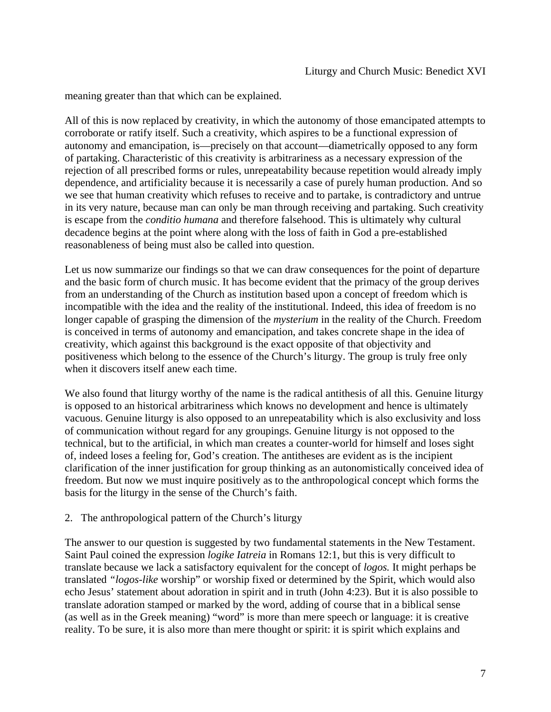meaning greater than that which can be explained.

All of this is now replaced by creativity, in which the autonomy of those emancipated attempts to corroborate or ratify itself. Such a creativity, which aspires to be a functional expression of autonomy and emancipation, is—precisely on that account—diametrically opposed to any form of partaking. Characteristic of this creativity is arbitrariness as a necessary expression of the rejection of all prescribed forms or rules, unrepeatability because repetition would already imply dependence, and artificiality because it is necessarily a case of purely human production. And so we see that human creativity which refuses to receive and to partake, is contradictory and untrue in its very nature, because man can only be man through receiving and partaking. Such creativity is escape from the *conditio humana* and therefore falsehood. This is ultimately why cultural decadence begins at the point where along with the loss of faith in God a pre-established reasonableness of being must also be called into question.

Let us now summarize our findings so that we can draw consequences for the point of departure and the basic form of church music. It has become evident that the primacy of the group derives from an understanding of the Church as institution based upon a concept of freedom which is incompatible with the idea and the reality of the institutional. Indeed, this idea of freedom is no longer capable of grasping the dimension of the *mysterium* in the reality of the Church. Freedom is conceived in terms of autonomy and emancipation, and takes concrete shape in the idea of creativity, which against this background is the exact opposite of that objectivity and positiveness which belong to the essence of the Church's liturgy. The group is truly free only when it discovers itself anew each time.

We also found that liturgy worthy of the name is the radical antithesis of all this. Genuine liturgy is opposed to an historical arbitrariness which knows no development and hence is ultimately vacuous. Genuine liturgy is also opposed to an unrepeatability which is also exclusivity and loss of communication without regard for any groupings. Genuine liturgy is not opposed to the technical, but to the artificial, in which man creates a counter-world for himself and loses sight of, indeed loses a feeling for, God's creation. The antitheses are evident as is the incipient clarification of the inner justification for group thinking as an autonomistically conceived idea of freedom. But now we must inquire positively as to the anthropological concept which forms the basis for the liturgy in the sense of the Church's faith.

### 2. The anthropological pattern of the Church's liturgy

The answer to our question is suggested by two fundamental statements in the New Testament. Saint Paul coined the expression *logike Iatreia* in Romans 12:1, but this is very difficult to translate because we lack a satisfactory equivalent for the concept of *logos.* It might perhaps be translated *"logos-like* worship" or worship fixed or determined by the Spirit, which would also echo Jesus' statement about adoration in spirit and in truth (John 4:23). But it is also possible to translate adoration stamped or marked by the word, adding of course that in a biblical sense (as well as in the Greek meaning) "word" is more than mere speech or language: it is creative reality. To be sure, it is also more than mere thought or spirit: it is spirit which explains and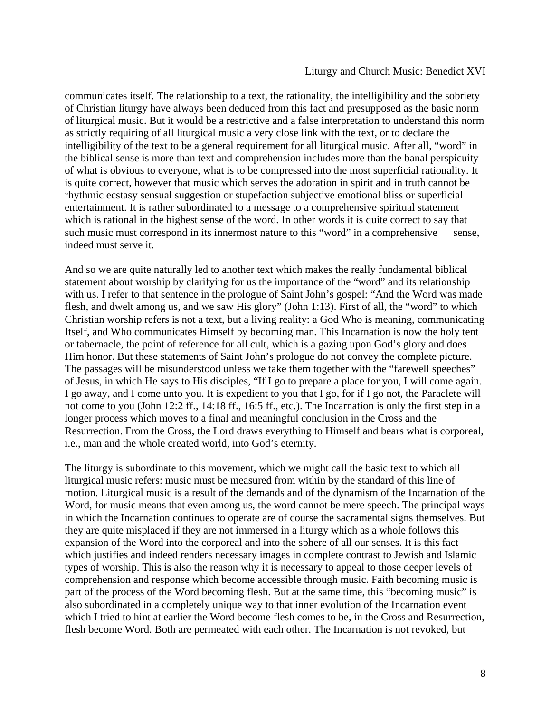#### Liturgy and Church Music: Benedict XVI

communicates itself. The relationship to a text, the rationality, the intelligibility and the sobriety of Christian liturgy have always been deduced from this fact and presupposed as the basic norm of liturgical music. But it would be a restrictive and a false interpretation to understand this norm as strictly requiring of all liturgical music a very close link with the text, or to declare the intelligibility of the text to be a general requirement for all liturgical music. After all, "word" in the biblical sense is more than text and comprehension includes more than the banal perspicuity of what is obvious to everyone, what is to be compressed into the most superficial rationality. It is quite correct, however that music which serves the adoration in spirit and in truth cannot be rhythmic ecstasy sensual suggestion or stupefaction subjective emotional bliss or superficial entertainment. It is rather subordinated to a message to a comprehensive spiritual statement which is rational in the highest sense of the word. In other words it is quite correct to say that such music must correspond in its innermost nature to this "word" in a comprehensive sense, indeed must serve it.

And so we are quite naturally led to another text which makes the really fundamental biblical statement about worship by clarifying for us the importance of the "word" and its relationship with us. I refer to that sentence in the prologue of Saint John's gospel: "And the Word was made flesh, and dwelt among us, and we saw His glory" (John 1:13). First of all, the "word" to which Christian worship refers is not a text, but a living reality: a God Who is meaning, communicating Itself, and Who communicates Himself by becoming man. This Incarnation is now the holy tent or tabernacle, the point of reference for all cult, which is a gazing upon God's glory and does Him honor. But these statements of Saint John's prologue do not convey the complete picture. The passages will be misunderstood unless we take them together with the "farewell speeches" of Jesus, in which He says to His disciples, "If I go to prepare a place for you, I will come again. I go away, and I come unto you. It is expedient to you that I go, for if I go not, the Paraclete will not come to you (John 12:2 ff., 14:18 ff., 16:5 ff., etc.). The Incarnation is only the first step in a longer process which moves to a final and meaningful conclusion in the Cross and the Resurrection. From the Cross, the Lord draws everything to Himself and bears what is corporeal, i.e., man and the whole created world, into God's eternity.

The liturgy is subordinate to this movement, which we might call the basic text to which all liturgical music refers: music must be measured from within by the standard of this line of motion. Liturgical music is a result of the demands and of the dynamism of the Incarnation of the Word, for music means that even among us, the word cannot be mere speech. The principal ways in which the Incarnation continues to operate are of course the sacramental signs themselves. But they are quite misplaced if they are not immersed in a liturgy which as a whole follows this expansion of the Word into the corporeal and into the sphere of all our senses. It is this fact which justifies and indeed renders necessary images in complete contrast to Jewish and Islamic types of worship. This is also the reason why it is necessary to appeal to those deeper levels of comprehension and response which become accessible through music. Faith becoming music is part of the process of the Word becoming flesh. But at the same time, this "becoming music" is also subordinated in a completely unique way to that inner evolution of the Incarnation event which I tried to hint at earlier the Word become flesh comes to be, in the Cross and Resurrection, flesh become Word. Both are permeated with each other. The Incarnation is not revoked, but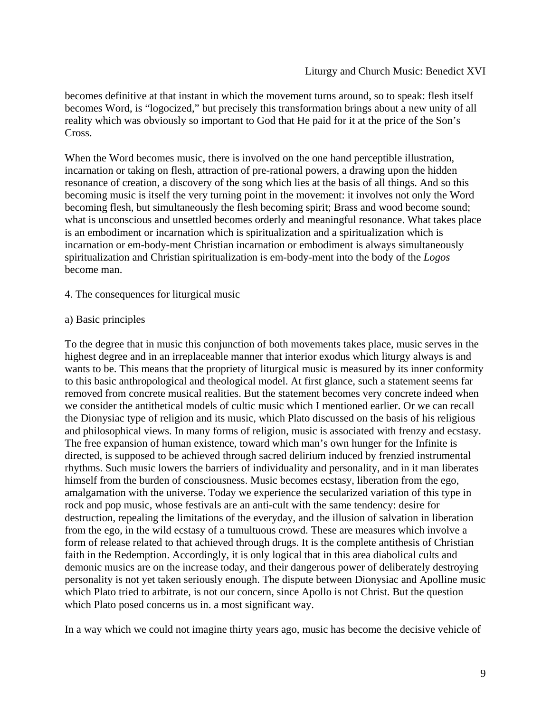becomes definitive at that instant in which the movement turns around, so to speak: flesh itself becomes Word, is "logocized," but precisely this transformation brings about a new unity of all reality which was obviously so important to God that He paid for it at the price of the Son's Cross.

When the Word becomes music, there is involved on the one hand perceptible illustration, incarnation or taking on flesh, attraction of pre-rational powers, a drawing upon the hidden resonance of creation, a discovery of the song which lies at the basis of all things. And so this becoming music is itself the very turning point in the movement: it involves not only the Word becoming flesh, but simultaneously the flesh becoming spirit; Brass and wood become sound; what is unconscious and unsettled becomes orderly and meaningful resonance. What takes place is an embodiment or incarnation which is spiritualization and a spiritualization which is incarnation or em-body-ment Christian incarnation or embodiment is always simultaneously spiritualization and Christian spiritualization is em-body-ment into the body of the *Logos*  become man.

- 4. The consequences for liturgical music
- a) Basic principles

To the degree that in music this conjunction of both movements takes place, music serves in the highest degree and in an irreplaceable manner that interior exodus which liturgy always is and wants to be. This means that the propriety of liturgical music is measured by its inner conformity to this basic anthropological and theological model. At first glance, such a statement seems far removed from concrete musical realities. But the statement becomes very concrete indeed when we consider the antithetical models of cultic music which I mentioned earlier. Or we can recall the Dionysiac type of religion and its music, which Plato discussed on the basis of his religious and philosophical views. In many forms of religion, music is associated with frenzy and ecstasy. The free expansion of human existence, toward which man's own hunger for the Infinite is directed, is supposed to be achieved through sacred delirium induced by frenzied instrumental rhythms. Such music lowers the barriers of individuality and personality, and in it man liberates himself from the burden of consciousness. Music becomes ecstasy, liberation from the ego, amalgamation with the universe. Today we experience the secularized variation of this type in rock and pop music, whose festivals are an anti-cult with the same tendency: desire for destruction, repealing the limitations of the everyday, and the illusion of salvation in liberation from the ego, in the wild ecstasy of a tumultuous crowd. These are measures which involve a form of release related to that achieved through drugs. It is the complete antithesis of Christian faith in the Redemption. Accordingly, it is only logical that in this area diabolical cults and demonic musics are on the increase today, and their dangerous power of deliberately destroying personality is not yet taken seriously enough. The dispute between Dionysiac and Apolline music which Plato tried to arbitrate, is not our concern, since Apollo is not Christ. But the question which Plato posed concerns us in. a most significant way.

In a way which we could not imagine thirty years ago, music has become the decisive vehicle of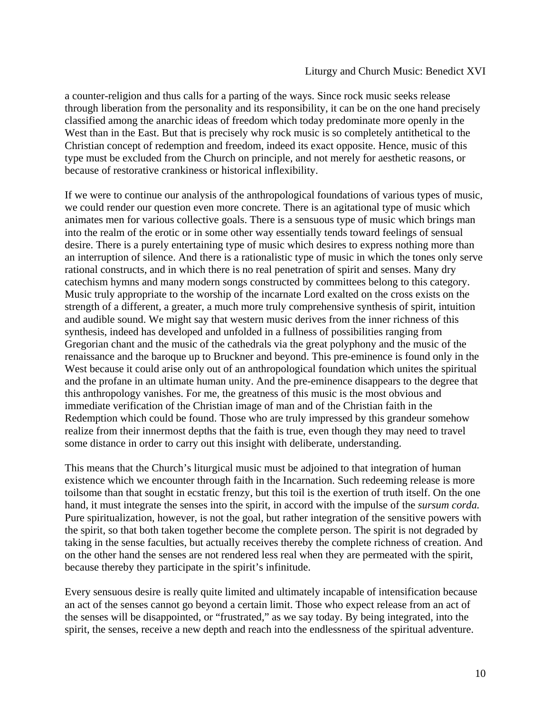a counter-religion and thus calls for a parting of the ways. Since rock music seeks release through liberation from the personality and its responsibility, it can be on the one hand precisely classified among the anarchic ideas of freedom which today predominate more openly in the West than in the East. But that is precisely why rock music is so completely antithetical to the Christian concept of redemption and freedom, indeed its exact opposite. Hence, music of this type must be excluded from the Church on principle, and not merely for aesthetic reasons, or because of restorative crankiness or historical inflexibility.

If we were to continue our analysis of the anthropological foundations of various types of music, we could render our question even more concrete. There is an agitational type of music which animates men for various collective goals. There is a sensuous type of music which brings man into the realm of the erotic or in some other way essentially tends toward feelings of sensual desire. There is a purely entertaining type of music which desires to express nothing more than an interruption of silence. And there is a rationalistic type of music in which the tones only serve rational constructs, and in which there is no real penetration of spirit and senses. Many dry catechism hymns and many modern songs constructed by committees belong to this category. Music truly appropriate to the worship of the incarnate Lord exalted on the cross exists on the strength of a different, a greater, a much more truly comprehensive synthesis of spirit, intuition and audible sound. We might say that western music derives from the inner richness of this synthesis, indeed has developed and unfolded in a fullness of possibilities ranging from Gregorian chant and the music of the cathedrals via the great polyphony and the music of the renaissance and the baroque up to Bruckner and beyond. This pre-eminence is found only in the West because it could arise only out of an anthropological foundation which unites the spiritual and the profane in an ultimate human unity. And the pre-eminence disappears to the degree that this anthropology vanishes. For me, the greatness of this music is the most obvious and immediate verification of the Christian image of man and of the Christian faith in the Redemption which could be found. Those who are truly impressed by this grandeur somehow realize from their innermost depths that the faith is true, even though they may need to travel some distance in order to carry out this insight with deliberate, understanding.

This means that the Church's liturgical music must be adjoined to that integration of human existence which we encounter through faith in the Incarnation. Such redeeming release is more toilsome than that sought in ecstatic frenzy, but this toil is the exertion of truth itself. On the one hand, it must integrate the senses into the spirit, in accord with the impulse of the *sursum corda.*  Pure spiritualization, however, is not the goal, but rather integration of the sensitive powers with the spirit, so that both taken together become the complete person. The spirit is not degraded by taking in the sense faculties, but actually receives thereby the complete richness of creation. And on the other hand the senses are not rendered less real when they are permeated with the spirit, because thereby they participate in the spirit's infinitude.

Every sensuous desire is really quite limited and ultimately incapable of intensification because an act of the senses cannot go beyond a certain limit. Those who expect release from an act of the senses will be disappointed, or "frustrated," as we say today. By being integrated, into the spirit, the senses, receive a new depth and reach into the endlessness of the spiritual adventure.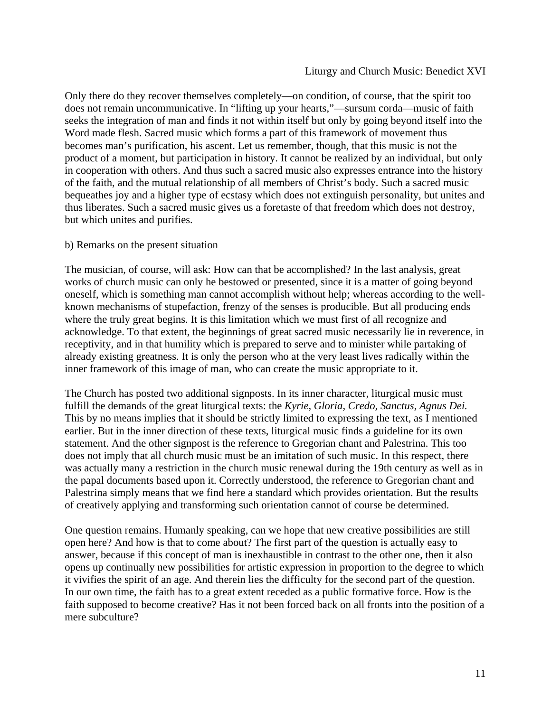Only there do they recover themselves completely—on condition, of course, that the spirit too does not remain uncommunicative. In "lifting up your hearts,"—sursum corda—music of faith seeks the integration of man and finds it not within itself but only by going beyond itself into the Word made flesh. Sacred music which forms a part of this framework of movement thus becomes man's purification, his ascent. Let us remember, though, that this music is not the product of a moment, but participation in history. It cannot be realized by an individual, but only in cooperation with others. And thus such a sacred music also expresses entrance into the history of the faith, and the mutual relationship of all members of Christ's body. Such a sacred music bequeathes joy and a higher type of ecstasy which does not extinguish personality, but unites and thus liberates. Such a sacred music gives us a foretaste of that freedom which does not destroy, but which unites and purifies.

# b) Remarks on the present situation

The musician, of course, will ask: How can that be accomplished? In the last analysis, great works of church music can only he bestowed or presented, since it is a matter of going beyond oneself, which is something man cannot accomplish without help; whereas according to the wellknown mechanisms of stupefaction, frenzy of the senses is producible. But all producing ends where the truly great begins. It is this limitation which we must first of all recognize and acknowledge. To that extent, the beginnings of great sacred music necessarily lie in reverence, in receptivity, and in that humility which is prepared to serve and to minister while partaking of already existing greatness. It is only the person who at the very least lives radically within the inner framework of this image of man, who can create the music appropriate to it.

The Church has posted two additional signposts. In its inner character, liturgical music must fulfill the demands of the great liturgical texts: the *Kyrie, Gloria, Credo, Sanctus, Agnus Dei.*  This by no means implies that it should be strictly limited to expressing the text, as I mentioned earlier. But in the inner direction of these texts, liturgical music finds a guideline for its own statement. And the other signpost is the reference to Gregorian chant and Palestrina. This too does not imply that all church music must be an imitation of such music. In this respect, there was actually many a restriction in the church music renewal during the 19th century as well as in the papal documents based upon it. Correctly understood, the reference to Gregorian chant and Palestrina simply means that we find here a standard which provides orientation. But the results of creatively applying and transforming such orientation cannot of course be determined.

One question remains. Humanly speaking, can we hope that new creative possibilities are still open here? And how is that to come about? The first part of the question is actually easy to answer, because if this concept of man is inexhaustible in contrast to the other one, then it also opens up continually new possibilities for artistic expression in proportion to the degree to which it vivifies the spirit of an age. And therein lies the difficulty for the second part of the question. In our own time, the faith has to a great extent receded as a public formative force. How is the faith supposed to become creative? Has it not been forced back on all fronts into the position of a mere subculture?